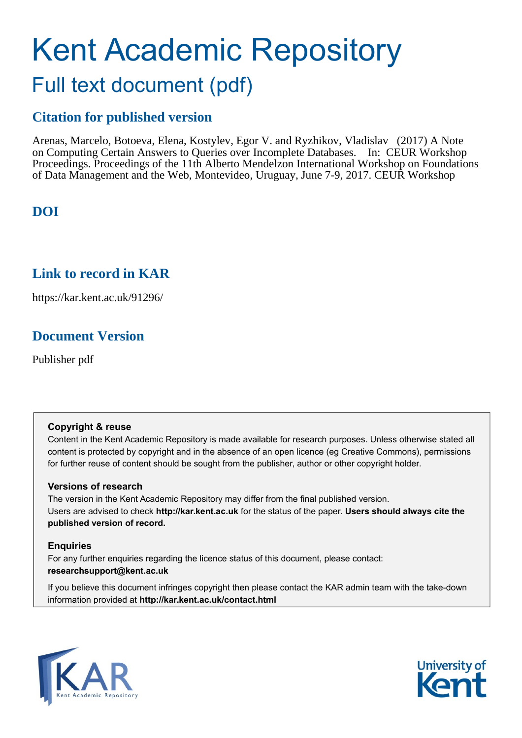# Kent Academic Repository Full text document (pdf)

# **Citation for published version**

Arenas, Marcelo, Botoeva, Elena, Kostylev, Egor V. and Ryzhikov, Vladislav (2017) A Note on Computing Certain Answers to Queries over Incomplete Databases. In: CEUR Workshop Proceedings. Proceedings of the 11th Alberto Mendelzon International Workshop on Foundations of Data Management and the Web, Montevideo, Uruguay, June 7-9, 2017. CEUR Workshop

# **DOI**

# **Link to record in KAR**

https://kar.kent.ac.uk/91296/

# **Document Version**

Publisher pdf

## **Copyright & reuse**

Content in the Kent Academic Repository is made available for research purposes. Unless otherwise stated all content is protected by copyright and in the absence of an open licence (eg Creative Commons), permissions for further reuse of content should be sought from the publisher, author or other copyright holder.

## **Versions of research**

The version in the Kent Academic Repository may differ from the final published version. Users are advised to check **http://kar.kent.ac.uk** for the status of the paper. **Users should always cite the published version of record.**

## **Enquiries**

For any further enquiries regarding the licence status of this document, please contact: **researchsupport@kent.ac.uk**

If you believe this document infringes copyright then please contact the KAR admin team with the take-down information provided at **http://kar.kent.ac.uk/contact.html**



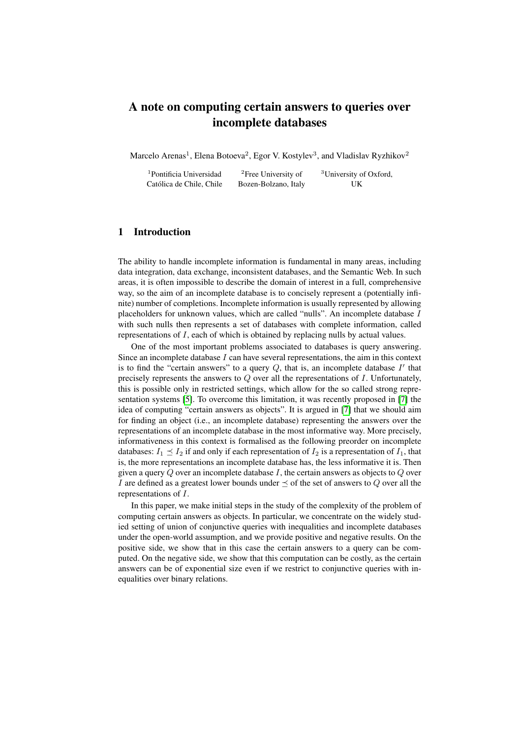## A note on computing certain answers to queries over incomplete databases

Marcelo Arenas<sup>1</sup>, Elena Botoeva<sup>2</sup>, Egor V. Kostylev<sup>3</sup>, and Vladislav Ryzhikov<sup>2</sup>

| <sup>1</sup> Pontificia Universidad | <sup>2</sup> Free University of | <sup>3</sup> University of Oxford, |
|-------------------------------------|---------------------------------|------------------------------------|
| Católica de Chile, Chile            | Bozen-Bolzano, Italy            | UK                                 |

#### 1 Introduction

The ability to handle incomplete information is fundamental in many areas, including data integration, data exchange, inconsistent databases, and the Semantic Web. In such areas, it is often impossible to describe the domain of interest in a full, comprehensive way, so the aim of an incomplete database is to concisely represent a (potentially infinite) number of completions. Incomplete information is usually represented by allowing placeholders for unknown values, which are called "nulls". An incomplete database  $I$ with such nulls then represents a set of databases with complete information, called representations of I, each of which is obtained by replacing nulls by actual values.

One of the most important problems associated to databases is query answering. Since an incomplete database  $I$  can have several representations, the aim in this context is to find the "certain answers" to a query  $Q$ , that is, an incomplete database  $I'$  that precisely represents the answers to  $Q$  over all the representations of  $I$ . Unfortunately, this is possible only in restricted settings, which allow for the so called strong representation systems [5]. To overcome this limitation, it was recently proposed in [7] the idea of computing "certain answers as objects". It is argued in [7] that we should aim for finding an object (i.e., an incomplete database) representing the answers over the representations of an incomplete database in the most informative way. More precisely, informativeness in this context is formalised as the following preorder on incomplete databases:  $I_1 \leq I_2$  if and only if each representation of  $I_2$  is a representation of  $I_1$ , that is, the more representations an incomplete database has, the less informative it is. Then given a query  $Q$  over an incomplete database  $I$ , the certain answers as objects to  $Q$  over I are defined as a greatest lower bounds under  $\preceq$  of the set of answers to Q over all the representations of I.

In this paper, we make initial steps in the study of the complexity of the problem of computing certain answers as objects. In particular, we concentrate on the widely studied setting of union of conjunctive queries with inequalities and incomplete databases under the open-world assumption, and we provide positive and negative results. On the positive side, we show that in this case the certain answers to a query can be computed. On the negative side, we show that this computation can be costly, as the certain answers can be of exponential size even if we restrict to conjunctive queries with inequalities over binary relations.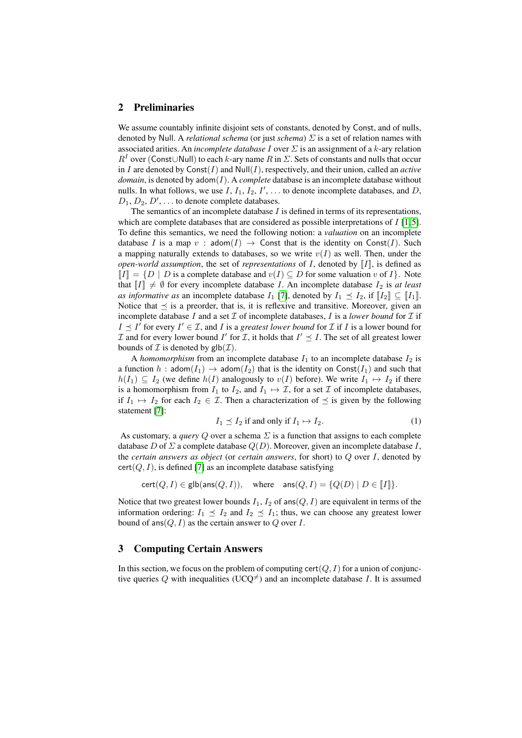#### 2 Preliminaries

We assume countably infinite disjoint sets of constants, denoted by Const, and of nulls, denoted by Null. A *relational schema* (or just *schema*) Σ is a set of relation names with associated arities. An *incomplete database* I over Σ is an assignment of a k-ary relation  $R<sup>I</sup>$  over (Const∪Null) to each k-ary name R in  $\Sigma$ . Sets of constants and nulls that occur in I are denoted by  $Const(I)$  and  $Null(I)$ , respectively, and their union, called an *active*  $domain$ , is denoted by  $adom(I)$ . A *complete* database is an incomplete database without nulls. In what follows, we use I,  $I_1$ ,  $I_2$ ,  $I'$ , ... to denote incomplete databases, and D,  $D_1, D_2, D', \ldots$  to denote complete databases.

The semantics of an incomplete database  $I$  is defined in terms of its representations, which are complete databases that are considered as possible interpretations of  $I$  [1,5]. To define this semantics, we need the following notion: a *valuation* on an incomplete database I is a map v : adom $(I) \rightarrow$  Const that is the identity on Const $(I)$ . Such a mapping naturally extends to databases, so we write  $v(I)$  as well. Then, under the *open-world assumption*, the set of *representations* of  $I$ , denoted by  $II$ , is defined as  $\llbracket I \rrbracket = \{ D \mid D$  is a complete database and  $v(I) \subseteq D$  for some valuation v of  $I \}$ . Note that  $\llbracket I \rrbracket \neq \emptyset$  for every incomplete database I. An incomplete database  $I_2$  is *at least as informative as* an incomplete database  $I_1$  [7], denoted by  $I_1 \preceq I_2$ , if  $\llbracket I_2 \rrbracket \subseteq \llbracket I_1 \rrbracket$ . Notice that  $\preceq$  is a preorder, that is, it is reflexive and transitive. Moreover, given an incomplete database  $I$  and a set  $I$  of incomplete databases,  $I$  is a *lower bound* for  $I$  if  $I \leq I'$  for every  $I' \in \mathcal{I}$ , and I is a *greatest lower bound* for I if I is a lower bound for  $\mathcal I$  and for every lower bound  $I'$  for  $\mathcal I$ , it holds that  $I' \preceq I$ . The set of all greatest lower bounds of  $\mathcal I$  is denoted by  $\mathsf{glb}(\mathcal I)$ .

A *homomorphism* from an incomplete database  $I_1$  to an incomplete database  $I_2$  is a function h:  $adom(I_1) \rightarrow adom(I_2)$  that is the identity on  $Const(I_1)$  and such that  $h(I_1) \subseteq I_2$  (we define  $h(I)$  analogously to  $v(I)$  before). We write  $I_1 \mapsto I_2$  if there is a homomorphism from  $I_1$  to  $I_2$ , and  $I_1 \mapsto \mathcal{I}$ , for a set  $\mathcal I$  of incomplete databases, if  $I_1 \mapsto I_2$  for each  $I_2 \in \mathcal{I}$ . Then a characterization of  $\preceq$  is given by the following statement [7]:

$$
I_1 \preceq I_2 \text{ if and only if } I_1 \mapsto I_2. \tag{1}
$$

As customary, a *query* Q over a schema  $\Sigma$  is a function that assigns to each complete database D of  $\Sigma$  a complete database  $Q(D)$ . Moreover, given an incomplete database I, the *certain answers as object* (or *certain answers*, for short) to Q over I, denoted by  $cert(Q, I)$ , is defined [7] as an incomplete database satisfying

$$
cert(Q, I) \in \mathsf{glb}(\mathsf{ans}(Q, I)), \quad \text{where} \quad \mathsf{ans}(Q, I) = \{Q(D) \mid D \in \llbracket I \rrbracket\}.
$$

Notice that two greatest lower bounds  $I_1$ ,  $I_2$  of ans( $Q$ ,  $I$ ) are equivalent in terms of the information ordering:  $I_1 \preceq I_2$  and  $I_2 \preceq I_1$ ; thus, we can choose any greatest lower bound of ans $(Q, I)$  as the certain answer to Q over I.

#### 3 Computing Certain Answers

In this section, we focus on the problem of computing cert $(Q, I)$  for a union of conjunctive queries Q with inequalities (UCQ<sup> $\neq$ </sup>) and an incomplete database I. It is assumed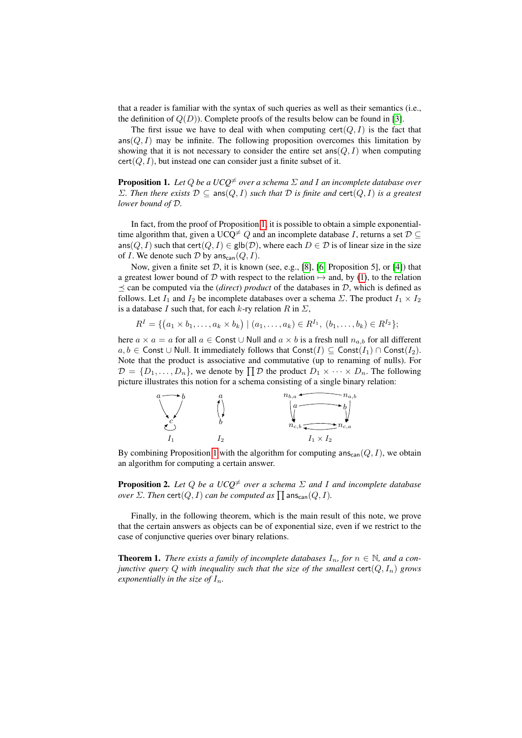that a reader is familiar with the syntax of such queries as well as their semantics (i.e., the definition of  $Q(D)$ ). Complete proofs of the results below can be found in [3].

The first issue we have to deal with when computing  $cert(Q, I)$  is the fact that  $ans(Q, I)$  may be infinite. The following proposition overcomes this limitation by showing that it is not necessary to consider the entire set  $\text{ans}(Q, I)$  when computing  $cert(Q, I)$ , but instead one can consider just a finite subset of it.

**Proposition 1.** Let Q be a  $UCQ^{\neq}$  over a schema  $\Sigma$  and I an incomplete database over  $Σ.$  Then there exists  $D ⊆$  ans $(Q, I)$  *such that*  $D$  *is finite and* cert $(Q, I)$  *is a greatest lower bound of* D*.*

In fact, from the proof of Proposition 1, it is possible to obtain a simple exponentialtime algorithm that, given a UCQ<sup> $\neq$ </sup> Q and an incomplete database I, returns a set  $\mathcal{D} \subseteq$ ans(Q, I) such that cert(Q, I)  $\in$  glb(D), where each  $D \in \mathcal{D}$  is of linear size in the size of I. We denote such  $D$  by ans<sub>can</sub> $(Q, I)$ .

Now, given a finite set  $D$ , it is known (see, e.g., [8], [6, Proposition 5], or [4]) that a greatest lower bound of D with respect to the relation  $\mapsto$  and, by (1), to the relation  $\leq$  can be computed via the *(direct) product* of the databases in D, which is defined as follows. Let  $I_1$  and  $I_2$  be incomplete databases over a schema  $\Sigma$ . The product  $I_1 \times I_2$ is a database I such that, for each k-ry relation R in  $\Sigma$ ,

$$
R^I = \{ (a_1 \times b_1, \ldots, a_k \times b_k) \mid (a_1, \ldots, a_k) \in R^{I_1}, (b_1, \ldots, b_k) \in R^{I_2} \};
$$

here  $a \times a = a$  for all  $a \in$  Const  $\cup$  Null and  $a \times b$  is a fresh null  $n_{a,b}$  for all different  $a, b \in$  Const ∪ Null. It immediately follows that Const(I)  $\subseteq$  Const(I<sub>1</sub>) ∩ Const(I<sub>2</sub>). Note that the product is associative and commutative (up to renaming of nulls). For  $\mathcal{D} = \{D_1, \ldots, D_n\}$ , we denote by  $\prod \mathcal{D}$  the product  $D_1 \times \cdots \times D_n$ . The following picture illustrates this notion for a schema consisting of a single binary relation:



By combining Proposition 1 with the algorithm for computing  $ans_{can}(Q, I)$ , we obtain an algorithm for computing a certain answer.

**Proposition 2.** Let Q be a  $UCQ^{\neq}$  over a schema  $\Sigma$  and I and incomplete database  $over \Sigma$ . Then  $\textsf{cert}(Q, I)$  can be computed as  $\prod \textsf{ans}_\textsf{can}(Q, I)$ .

Finally, in the following theorem, which is the main result of this note, we prove that the certain answers as objects can be of exponential size, even if we restrict to the case of conjunctive queries over binary relations.

**Theorem 1.** *There exists a family of incomplete databases*  $I_n$ *, for*  $n \in \mathbb{N}$ *, and a conjunctive query* Q *with inequality such that the size of the smallest* cert(Q, In) *grows exponentially in the size of*  $I_n$ *.*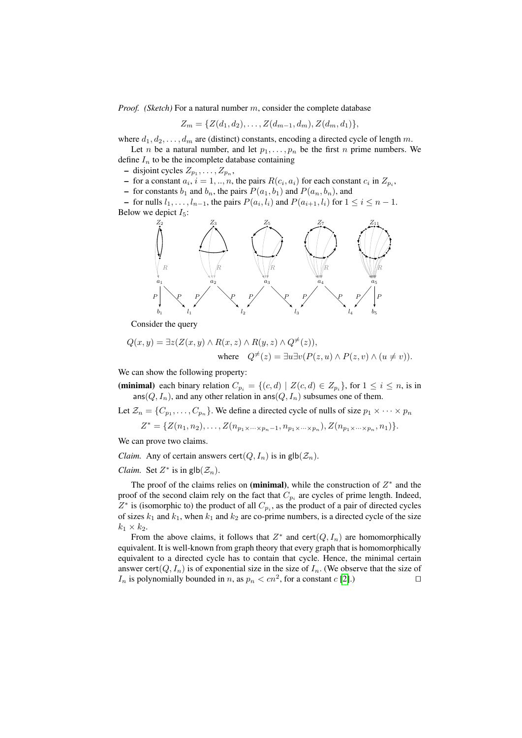*Proof. (Sketch)* For a natural number m, consider the complete database

$$
Z_m = \{Z(d_1, d_2), \ldots, Z(d_{m-1}, d_m), Z(d_m, d_1)\},\
$$

where  $d_1, d_2, \ldots, d_m$  are (distinct) constants, encoding a directed cycle of length m.

Let *n* be a natural number, and let  $p_1, \ldots, p_n$  be the first *n* prime numbers. We define  $I_n$  to be the incomplete database containing

 $-$  disjoint cycles  $Z_{p_1}, \ldots, Z_{p_n}$ ,

- for a constant  $a_i$ ,  $i = 1, ..., n$ , the pairs  $R(c_i, a_i)$  for each constant  $c_i$  in  $Z_{p_i}$ ,

– for constants  $b_1$  and  $b_n$ , the pairs  $P(a_1, b_1)$  and  $P(a_n, b_n)$ , and

− for nulls  $l_1, \ldots, l_{n-1}$ , the pairs  $P(a_i, l_i)$  and  $P(a_{i+1}, l_i)$  for  $1 \le i \le n-1$ . Below we depict  $I_5$ :



Consider the query

$$
Q(x, y) = \exists z (Z(x, y) \land R(x, z) \land R(y, z) \land Q^{\neq}(z)),
$$
  
where 
$$
Q^{\neq}(z) = \exists u \exists v (P(z, u) \land P(z, v) \land (u \neq v)).
$$

We can show the following property:

(minimal) each binary relation  $C_{p_i} = \{(c, d) | Z(c, d) \in Z_{p_i}\}$ , for  $1 \le i \le n$ , is in  $ans(Q, I_n)$ , and any other relation in ans $(Q, I_n)$  subsumes one of them.

Let  $\mathcal{Z}_n = \{C_{p_1}, \ldots, C_{p_n}\}$ . We define a directed cycle of nulls of size  $p_1 \times \cdots \times p_n$ 

$$
Z^* = \{Z(n_1, n_2), \ldots, Z(n_{p_1 \times \cdots \times p_n-1}, n_{p_1 \times \cdots \times p_n}), Z(n_{p_1 \times \cdots \times p_n}, n_1)\}.
$$

We can prove two claims.

*Claim.* Any of certain answers cert $(Q, I_n)$  is in glb $(\mathcal{Z}_n)$ .

*Claim.* Set  $Z^*$  is in  $\text{glb}(\mathcal{Z}_n)$ .

The proof of the claims relies on (minimal), while the construction of  $Z^*$  and the proof of the second claim rely on the fact that  $C_{p_i}$  are cycles of prime length. Indeed,  $Z^*$  is (isomorphic to) the product of all  $C_{p_i}$ , as the product of a pair of directed cycles of sizes  $k_1$  and  $k_1$ , when  $k_1$  and  $k_2$  are co-prime numbers, is a directed cycle of the size  $k_1 \times k_2$ .

From the above claims, it follows that  $Z^*$  and cert $(Q, I_n)$  are homomorphically equivalent. It is well-known from graph theory that every graph that is homomorphically equivalent to a directed cycle has to contain that cycle. Hence, the minimal certain answer cert $(Q, I_n)$  is of exponential size in the size of  $I_n$ . (We observe that the size of  $I_n$  is polynomially bounded in n, as  $p_n < cn^2$ , for a constant  $c$  [2].)